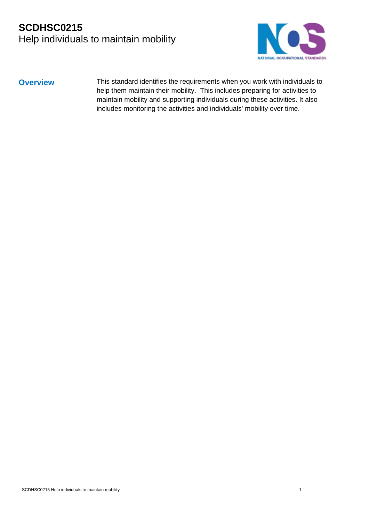

**Overview** This standard identifies the requirements when you work with individuals to help them maintain their mobility. This includes preparing for activities to maintain mobility and supporting individuals during these activities. It also includes monitoring the activities and individuals' mobility over time.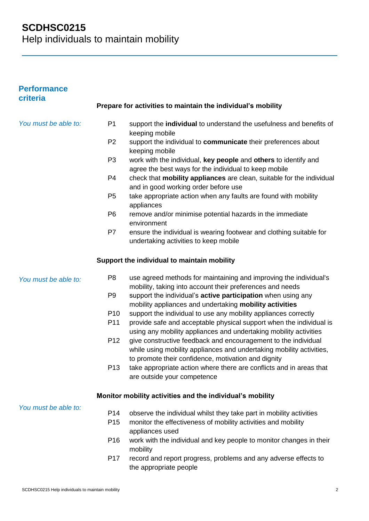| <b>Performance</b><br>criteria |                 |                                                                                                                                                                                               |
|--------------------------------|-----------------|-----------------------------------------------------------------------------------------------------------------------------------------------------------------------------------------------|
|                                |                 | Prepare for activities to maintain the individual's mobility                                                                                                                                  |
| You must be able to:           | P <sub>1</sub>  | support the individual to understand the usefulness and benefits of<br>keeping mobile                                                                                                         |
|                                | P <sub>2</sub>  | support the individual to communicate their preferences about<br>keeping mobile                                                                                                               |
|                                | P <sub>3</sub>  | work with the individual, key people and others to identify and<br>agree the best ways for the individual to keep mobile                                                                      |
|                                | P <sub>4</sub>  | check that mobility appliances are clean, suitable for the individual<br>and in good working order before use                                                                                 |
|                                | P <sub>5</sub>  | take appropriate action when any faults are found with mobility<br>appliances                                                                                                                 |
|                                | P <sub>6</sub>  | remove and/or minimise potential hazards in the immediate<br>environment                                                                                                                      |
|                                | P7              | ensure the individual is wearing footwear and clothing suitable for<br>undertaking activities to keep mobile                                                                                  |
|                                |                 | Support the individual to maintain mobility                                                                                                                                                   |
| You must be able to:           | P <sub>8</sub>  | use agreed methods for maintaining and improving the individual's<br>mobility, taking into account their preferences and needs                                                                |
|                                | P <sub>9</sub>  | support the individual's active participation when using any<br>mobility appliances and undertaking mobility activities                                                                       |
|                                | P <sub>10</sub> | support the individual to use any mobility appliances correctly                                                                                                                               |
|                                | P <sub>11</sub> | provide safe and acceptable physical support when the individual is<br>using any mobility appliances and undertaking mobility activities                                                      |
|                                | P <sub>12</sub> | give constructive feedback and encouragement to the individual<br>while using mobility appliances and undertaking mobility activities,<br>to promote their confidence, motivation and dignity |
|                                | P <sub>13</sub> | take appropriate action where there are conflicts and in areas that<br>are outside your competence                                                                                            |
|                                |                 | Monitor mobility activities and the individual's mobility                                                                                                                                     |
| You must be able to:           | P <sub>14</sub> | observe the individual whilst they take part in mobility activities                                                                                                                           |
|                                | P <sub>15</sub> | monitor the effectiveness of mobility activities and mobility<br>appliances used                                                                                                              |
|                                | P <sub>16</sub> | work with the individual and key people to monitor changes in their<br>mobility                                                                                                               |
|                                | P <sub>17</sub> | record and report progress, problems and any adverse effects to<br>the appropriate people                                                                                                     |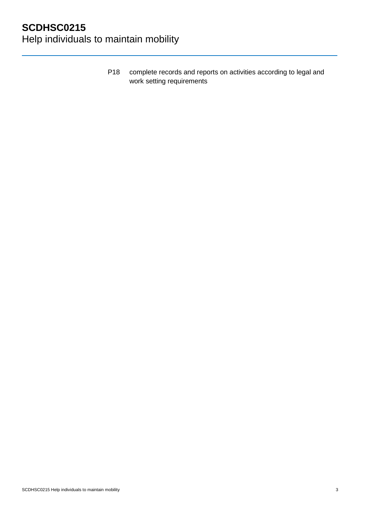P18 complete records and reports on activities according to legal and work setting requirements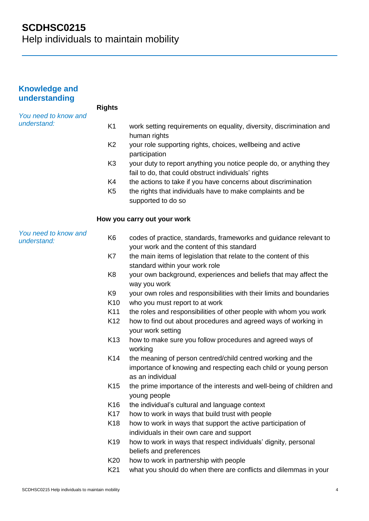# **SCDHSC0215**

Help individuals to maintain mobility

| <b>Knowledge and</b><br>understanding |                 |                                                                                                                                                    |
|---------------------------------------|-----------------|----------------------------------------------------------------------------------------------------------------------------------------------------|
|                                       | <b>Rights</b>   |                                                                                                                                                    |
| You need to know and<br>understand:   | K <sub>1</sub>  | work setting requirements on equality, diversity, discrimination and<br>human rights                                                               |
|                                       | K <sub>2</sub>  | your role supporting rights, choices, wellbeing and active<br>participation                                                                        |
|                                       | K <sub>3</sub>  | your duty to report anything you notice people do, or anything they<br>fail to do, that could obstruct individuals' rights                         |
|                                       | K4              | the actions to take if you have concerns about discrimination                                                                                      |
|                                       | K <sub>5</sub>  | the rights that individuals have to make complaints and be<br>supported to do so                                                                   |
|                                       |                 | How you carry out your work                                                                                                                        |
| You need to know and<br>understand:   | K <sub>6</sub>  | codes of practice, standards, frameworks and guidance relevant to<br>your work and the content of this standard                                    |
|                                       | K7              | the main items of legislation that relate to the content of this                                                                                   |
|                                       |                 | standard within your work role                                                                                                                     |
|                                       | K <sub>8</sub>  | your own background, experiences and beliefs that may affect the<br>way you work                                                                   |
|                                       | K <sub>9</sub>  | your own roles and responsibilities with their limits and boundaries                                                                               |
|                                       | K <sub>10</sub> | who you must report to at work                                                                                                                     |
|                                       | K11             | the roles and responsibilities of other people with whom you work                                                                                  |
|                                       | K <sub>12</sub> | how to find out about procedures and agreed ways of working in<br>your work setting                                                                |
|                                       | K <sub>13</sub> | how to make sure you follow procedures and agreed ways of<br>working                                                                               |
|                                       | K <sub>14</sub> | the meaning of person centred/child centred working and the<br>importance of knowing and respecting each child or young person<br>as an individual |
|                                       | K <sub>15</sub> | the prime importance of the interests and well-being of children and<br>young people                                                               |
|                                       | K16             | the individual's cultural and language context                                                                                                     |
|                                       | K <sub>17</sub> | how to work in ways that build trust with people                                                                                                   |
|                                       | K <sub>18</sub> | how to work in ways that support the active participation of<br>individuals in their own care and support                                          |
|                                       | K <sub>19</sub> | how to work in ways that respect individuals' dignity, personal<br>beliefs and preferences                                                         |
|                                       | K <sub>20</sub> | how to work in partnership with people                                                                                                             |
|                                       | K <sub>21</sub> | what you should do when there are conflicts and dilemmas in your                                                                                   |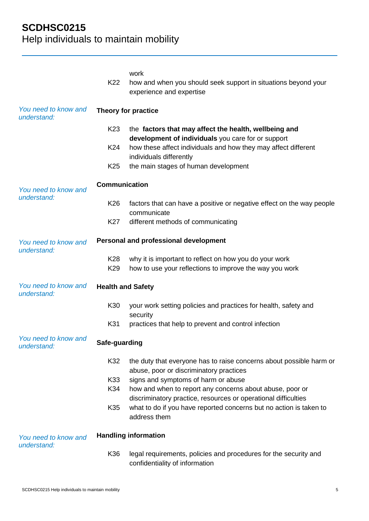|                                     | K22                      | work<br>how and when you should seek support in situations beyond your<br>experience and expertise                         |
|-------------------------------------|--------------------------|----------------------------------------------------------------------------------------------------------------------------|
| You need to know and<br>understand: |                          | Theory for practice                                                                                                        |
|                                     | K <sub>23</sub>          | the factors that may affect the health, wellbeing and<br>development of individuals you care for or support                |
|                                     | K24                      | how these affect individuals and how they may affect different<br>individuals differently                                  |
|                                     | K <sub>25</sub>          | the main stages of human development                                                                                       |
| You need to know and                | <b>Communication</b>     |                                                                                                                            |
| understand:                         | K <sub>26</sub>          | factors that can have a positive or negative effect on the way people<br>communicate                                       |
|                                     | <b>K27</b>               | different methods of communicating                                                                                         |
| You need to know and<br>understand: |                          | Personal and professional development                                                                                      |
|                                     | K28<br>K29               | why it is important to reflect on how you do your work<br>how to use your reflections to improve the way you work          |
| You need to know and<br>understand: | <b>Health and Safety</b> |                                                                                                                            |
|                                     | K30                      | your work setting policies and practices for health, safety and<br>security                                                |
|                                     | K31                      | practices that help to prevent and control infection                                                                       |
| You need to know and<br>understand: | Safe-guarding            |                                                                                                                            |
|                                     | K32                      | the duty that everyone has to raise concerns about possible harm or<br>abuse, poor or discriminatory practices             |
|                                     | K33                      | signs and symptoms of harm or abuse                                                                                        |
|                                     | K34                      | how and when to report any concerns about abuse, poor or<br>discriminatory practice, resources or operational difficulties |
|                                     | K35                      | what to do if you have reported concerns but no action is taken to<br>address them                                         |
| You need to know and                |                          | <b>Handling information</b>                                                                                                |
| understand:                         | K36                      | legal requirements, policies and procedures for the security and<br>confidentiality of information                         |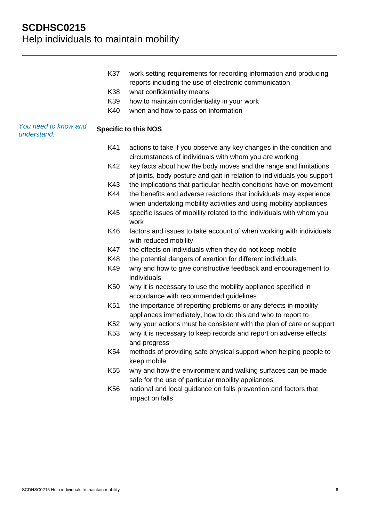|                                     | K37             | work setting requirements for recording information and producing<br>reports including the use of electronic communication                  |
|-------------------------------------|-----------------|---------------------------------------------------------------------------------------------------------------------------------------------|
|                                     | K38             | what confidentiality means                                                                                                                  |
|                                     | K39             | how to maintain confidentiality in your work                                                                                                |
|                                     | K40             | when and how to pass on information                                                                                                         |
| You need to know and<br>understand: |                 | <b>Specific to this NOS</b>                                                                                                                 |
|                                     | K41             | actions to take if you observe any key changes in the condition and<br>circumstances of individuals with whom you are working               |
|                                     | K42             | key facts about how the body moves and the range and limitations<br>of joints, body posture and gait in relation to individuals you support |
|                                     | K43             | the implications that particular health conditions have on movement                                                                         |
|                                     | K44             | the benefits and adverse reactions that individuals may experience<br>when undertaking mobility activities and using mobility appliances    |
|                                     | K45             | specific issues of mobility related to the individuals with whom you<br>work                                                                |
|                                     | K46             | factors and issues to take account of when working with individuals<br>with reduced mobility                                                |
|                                     | <b>K47</b>      | the effects on individuals when they do not keep mobile                                                                                     |
|                                     | <b>K48</b>      | the potential dangers of exertion for different individuals                                                                                 |
|                                     | K49             | why and how to give constructive feedback and encouragement to<br>individuals                                                               |
|                                     | K50             | why it is necessary to use the mobility appliance specified in<br>accordance with recommended guidelines                                    |
|                                     | K51             | the importance of reporting problems or any defects in mobility<br>appliances immediately, how to do this and who to report to              |
|                                     | K <sub>52</sub> | why your actions must be consistent with the plan of care or support                                                                        |
|                                     | K53             | why it is necessary to keep records and report on adverse effects                                                                           |
|                                     |                 | and progress                                                                                                                                |
|                                     | K54             | methods of providing safe physical support when helping people to<br>keep mobile                                                            |
|                                     | K <sub>55</sub> | why and how the environment and walking surfaces can be made                                                                                |

- safe for the use of particular mobility appliances
- K56 national and local guidance on falls prevention and factors that impact on falls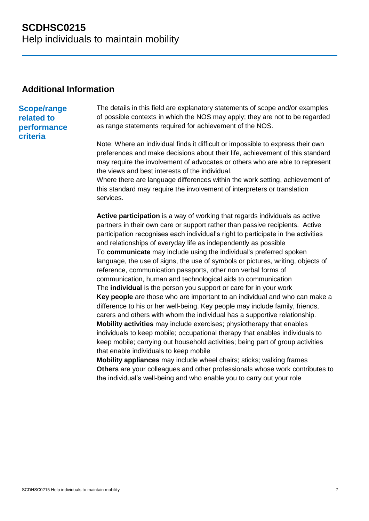### **Additional Information**

## **Scope/range related to**

**performance criteria**

The details in this field are explanatory statements of scope and/or examples of possible contexts in which the NOS may apply; they are not to be regarded as range statements required for achievement of the NOS.

Note: Where an individual finds it difficult or impossible to express their own preferences and make decisions about their life, achievement of this standard may require the involvement of advocates or others who are able to represent the views and best interests of the individual.

Where there are language differences within the work setting, achievement of this standard may require the involvement of interpreters or translation services.

**Active participation** is a way of working that regards individuals as active partners in their own care or support rather than passive recipients. Active participation recognises each individual's right to participate in the activities and relationships of everyday life as independently as possible To **communicate** may include using the individual's preferred spoken language, the use of signs, the use of symbols or pictures, writing, objects of reference, communication passports, other non verbal forms of communication, human and technological aids to communication The **individual** is the person you support or care for in your work **Key people** are those who are important to an individual and who can make a difference to his or her well-being. Key people may include family, friends, carers and others with whom the individual has a supportive relationship. **Mobility activities** may include exercises; physiotherapy that enables individuals to keep mobile; occupational therapy that enables individuals to keep mobile; carrying out household activities; being part of group activities that enable individuals to keep mobile

**Mobility appliances** may include wheel chairs; sticks; walking frames **Others** are your colleagues and other professionals whose work contributes to the individual's well-being and who enable you to carry out your role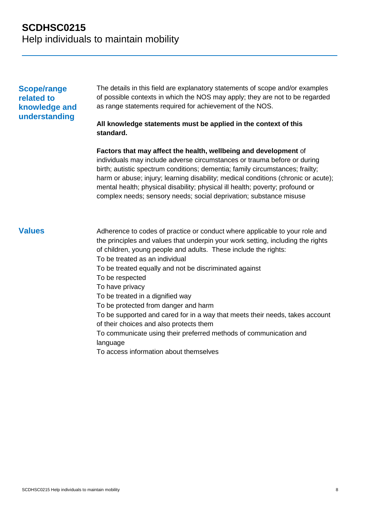### **Scope/range related to knowledge and understanding**

The details in this field are explanatory statements of scope and/or examples of possible contexts in which the NOS may apply; they are not to be regarded as range statements required for achievement of the NOS.

#### **All knowledge statements must be applied in the context of this standard.**

**Factors that may affect the health, wellbeing and development** of individuals may include adverse circumstances or trauma before or during birth; autistic spectrum conditions; dementia; family circumstances; frailty; harm or abuse; injury; learning disability; medical conditions (chronic or acute); mental health; physical disability; physical ill health; poverty; profound or complex needs; sensory needs; social deprivation; substance misuse

**Values** Adherence to codes of practice or conduct where applicable to your role and the principles and values that underpin your work setting, including the rights of children, young people and adults. These include the rights: To be treated as an individual To be treated equally and not be discriminated against To be respected To have privacy To be treated in a dignified way To be protected from danger and harm To be supported and cared for in a way that meets their needs, takes account of their choices and also protects them To communicate using their preferred methods of communication and language To access information about themselves